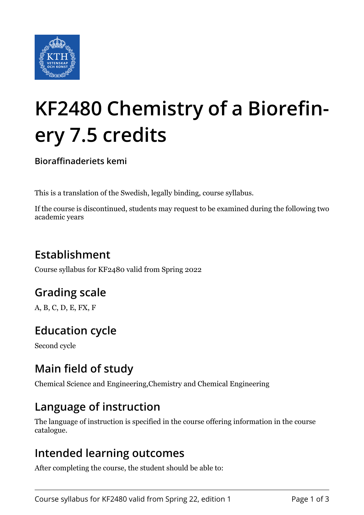

# **KF2480 Chemistry of a Biorefinery 7.5 credits**

**Bioraffinaderiets kemi**

This is a translation of the Swedish, legally binding, course syllabus.

If the course is discontinued, students may request to be examined during the following two academic years

## **Establishment**

Course syllabus for KF2480 valid from Spring 2022

## **Grading scale**

A, B, C, D, E, FX, F

## **Education cycle**

Second cycle

## **Main field of study**

Chemical Science and Engineering,Chemistry and Chemical Engineering

#### **Language of instruction**

The language of instruction is specified in the course offering information in the course catalogue.

#### **Intended learning outcomes**

After completing the course, the student should be able to: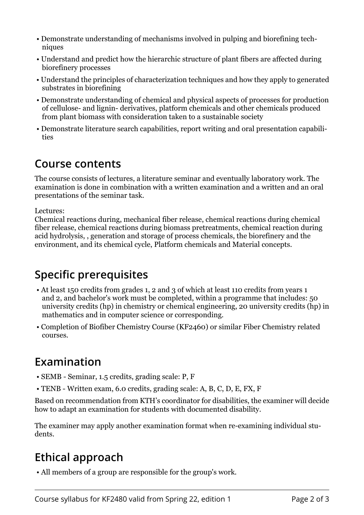- Demonstrate understanding of mechanisms involved in pulping and biorefining techniques
- Understand and predict how the hierarchic structure of plant fibers are affected during biorefinery processes
- Understand the principles of characterization techniques and how they apply to generated substrates in biorefining
- Demonstrate understanding of chemical and physical aspects of processes for production of cellulose- and lignin- derivatives, platform chemicals and other chemicals produced from plant biomass with consideration taken to a sustainable society
- Demonstrate literature search capabilities, report writing and oral presentation capabilities

## **Course contents**

The course consists of lectures, a literature seminar and eventually laboratory work. The examination is done in combination with a written examination and a written and an oral presentations of the seminar task.

Lectures:

Chemical reactions during, mechanical fiber release, chemical reactions during chemical fiber release, chemical reactions during biomass pretreatments, chemical reaction during acid hydrolysis, , generation and storage of process chemicals, the biorefinery and the environment, and its chemical cycle, Platform chemicals and Material concepts.

## **Specific prerequisites**

- At least 150 credits from grades 1, 2 and 3 of which at least 110 credits from years 1 and 2, and bachelor's work must be completed, within a programme that includes: 50 university credits (hp) in chemistry or chemical engineering, 20 university credits (hp) in mathematics and in computer science or corresponding.
- Completion of Biofiber Chemistry Course (KF2460) or similar Fiber Chemistry related courses.

## **Examination**

- SEMB Seminar, 1.5 credits, grading scale: P, F
- TENB Written exam, 6.0 credits, grading scale: A, B, C, D, E, FX, F

Based on recommendation from KTH's coordinator for disabilities, the examiner will decide how to adapt an examination for students with documented disability.

The examiner may apply another examination format when re-examining individual students.

## **Ethical approach**

• All members of a group are responsible for the group's work.